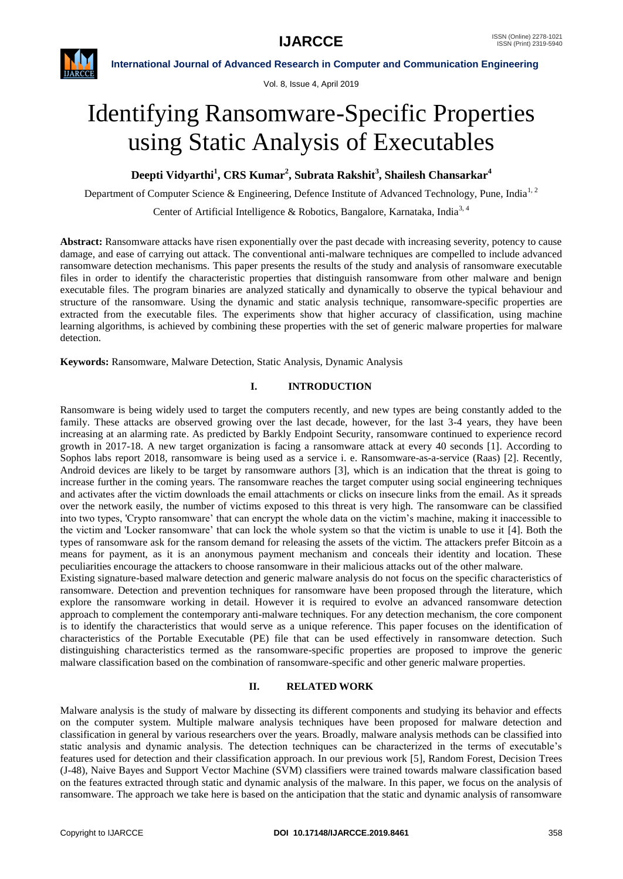

Vol. 8, Issue 4, April 2019

# Identifying Ransomware-Specific Properties using Static Analysis of Executables

**Deepti Vidyarthi<sup>1</sup> , CRS Kumar<sup>2</sup> , Subrata Rakshit<sup>3</sup> , Shailesh Chansarkar<sup>4</sup>**

Department of Computer Science & Engineering, Defence Institute of Advanced Technology, Pune, India<sup>1,2</sup>

Center of Artificial Intelligence & Robotics, Bangalore, Karnataka, India<sup>3, 4</sup>

**Abstract:** Ransomware attacks have risen exponentially over the past decade with increasing severity, potency to cause damage, and ease of carrying out attack. The conventional anti-malware techniques are compelled to include advanced ransomware detection mechanisms. This paper presents the results of the study and analysis of ransomware executable files in order to identify the characteristic properties that distinguish ransomware from other malware and benign executable files. The program binaries are analyzed statically and dynamically to observe the typical behaviour and structure of the ransomware. Using the dynamic and static analysis technique, ransomware-specific properties are extracted from the executable files. The experiments show that higher accuracy of classification, using machine learning algorithms, is achieved by combining these properties with the set of generic malware properties for malware detection.

**Keywords:** Ransomware, Malware Detection, Static Analysis, Dynamic Analysis

# **I. INTRODUCTION**

Ransomware is being widely used to target the computers recently, and new types are being constantly added to the family. These attacks are observed growing over the last decade, however, for the last 3-4 years, they have been increasing at an alarming rate. As predicted by Barkly Endpoint Security, ransomware continued to experience record growth in 2017-18. A new target organization is facing a ransomware attack at every 40 seconds [1]. According to Sophos labs report 2018, ransomware is being used as a service i. e. Ransomware-as-a-service (Raas) [2]. Recently, Android devices are likely to be target by ransomware authors [3], which is an indication that the threat is going to increase further in the coming years. The ransomware reaches the target computer using social engineering techniques and activates after the victim downloads the email attachments or clicks on insecure links from the email. As it spreads over the network easily, the number of victims exposed to this threat is very high. The ransomware can be classified into two types, 'Crypto ransomware" that can encrypt the whole data on the victim"s machine, making it inaccessible to the victim and 'Locker ransomware" that can lock the whole system so that the victim is unable to use it [4]. Both the types of ransomware ask for the ransom demand for releasing the assets of the victim. The attackers prefer Bitcoin as a means for payment, as it is an anonymous payment mechanism and conceals their identity and location. These peculiarities encourage the attackers to choose ransomware in their malicious attacks out of the other malware.

Existing signature-based malware detection and generic malware analysis do not focus on the specific characteristics of ransomware. Detection and prevention techniques for ransomware have been proposed through the literature, which explore the ransomware working in detail. However it is required to evolve an advanced ransomware detection approach to complement the contemporary anti-malware techniques. For any detection mechanism, the core component is to identify the characteristics that would serve as a unique reference. This paper focuses on the identification of characteristics of the Portable Executable (PE) file that can be used effectively in ransomware detection. Such distinguishing characteristics termed as the ransomware-specific properties are proposed to improve the generic malware classification based on the combination of ransomware-specific and other generic malware properties.

# **II. RELATED WORK**

Malware analysis is the study of malware by dissecting its different components and studying its behavior and effects on the computer system. Multiple malware analysis techniques have been proposed for malware detection and classification in general by various researchers over the years. Broadly, malware analysis methods can be classified into static analysis and dynamic analysis. The detection techniques can be characterized in the terms of executable"s features used for detection and their classification approach. In our previous work [5], Random Forest, Decision Trees (J-48), Naive Bayes and Support Vector Machine (SVM) classifiers were trained towards malware classification based on the features extracted through static and dynamic analysis of the malware. In this paper, we focus on the analysis of ransomware. The approach we take here is based on the anticipation that the static and dynamic analysis of ransomware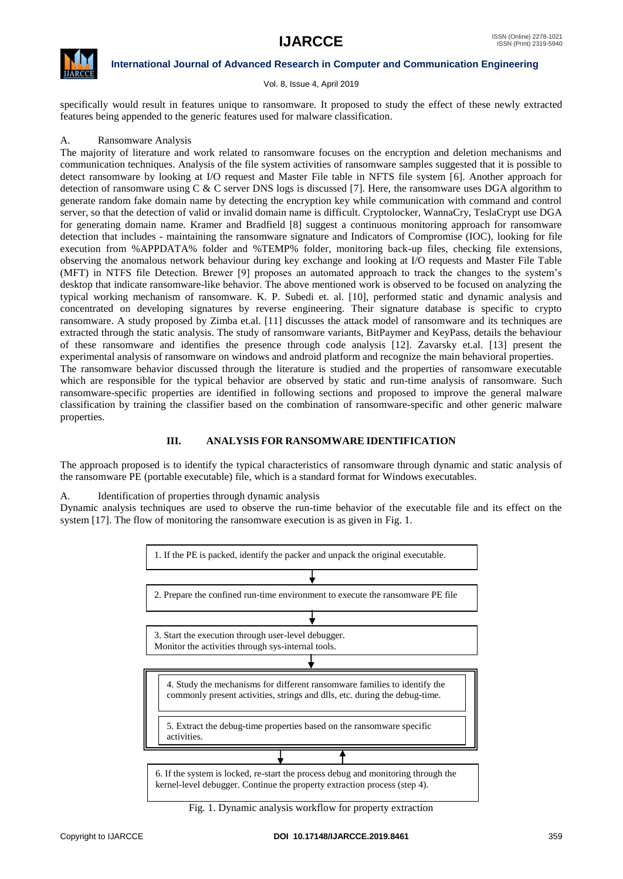

Vol. 8, Issue 4, April 2019

specifically would result in features unique to ransomware. It proposed to study the effect of these newly extracted features being appended to the generic features used for malware classification.

# A. Ransomware Analysis

The majority of literature and work related to ransomware focuses on the encryption and deletion mechanisms and communication techniques. Analysis of the file system activities of ransomware samples suggested that it is possible to detect ransomware by looking at I/O request and Master File table in NFTS file system [6]. Another approach for detection of ransomware using C  $&$  C server DNS logs is discussed [7]. Here, the ransomware uses DGA algorithm to generate random fake domain name by detecting the encryption key while communication with command and control server, so that the detection of valid or invalid domain name is difficult. Cryptolocker, WannaCry, TeslaCrypt use DGA for generating domain name. Kramer and Bradfield [8] suggest a continuous monitoring approach for ransomware detection that includes - maintaining the ransomware signature and Indicators of Compromise (IOC), looking for file execution from %APPDATA% folder and %TEMP% folder, monitoring back-up files, checking file extensions, observing the anomalous network behaviour during key exchange and looking at I/O requests and Master File Table (MFT) in NTFS file Detection. Brewer [9] proposes an automated approach to track the changes to the system"s desktop that indicate ransomware-like behavior. The above mentioned work is observed to be focused on analyzing the typical working mechanism of ransomware. K. P. Subedi et. al. [10], performed static and dynamic analysis and concentrated on developing signatures by reverse engineering. Their signature database is specific to crypto ransomware. A study proposed by Zimba et.al. [11] discusses the attack model of ransomware and its techniques are extracted through the static analysis. The study of ransomware variants, BitPaymer and KeyPass, details the behaviour of these ransomware and identifies the presence through code analysis [12]. Zavarsky et.al. [13] present the experimental analysis of ransomware on windows and android platform and recognize the main behavioral properties. The ransomware behavior discussed through the literature is studied and the properties of ransomware executable which are responsible for the typical behavior are observed by static and run-time analysis of ransomware. Such

ransomware-specific properties are identified in following sections and proposed to improve the general malware classification by training the classifier based on the combination of ransomware-specific and other generic malware properties.

# **III. ANALYSIS FOR RANSOMWARE IDENTIFICATION**

The approach proposed is to identify the typical characteristics of ransomware through dynamic and static analysis of the ransomware PE (portable executable) file, which is a standard format for Windows executables.

A. Identification of properties through dynamic analysis

Dynamic analysis techniques are used to observe the run-time behavior of the executable file and its effect on the system [17]. The flow of monitoring the ransomware execution is as given in Fig. 1.



Fig. 1. Dynamic analysis workflow for property extraction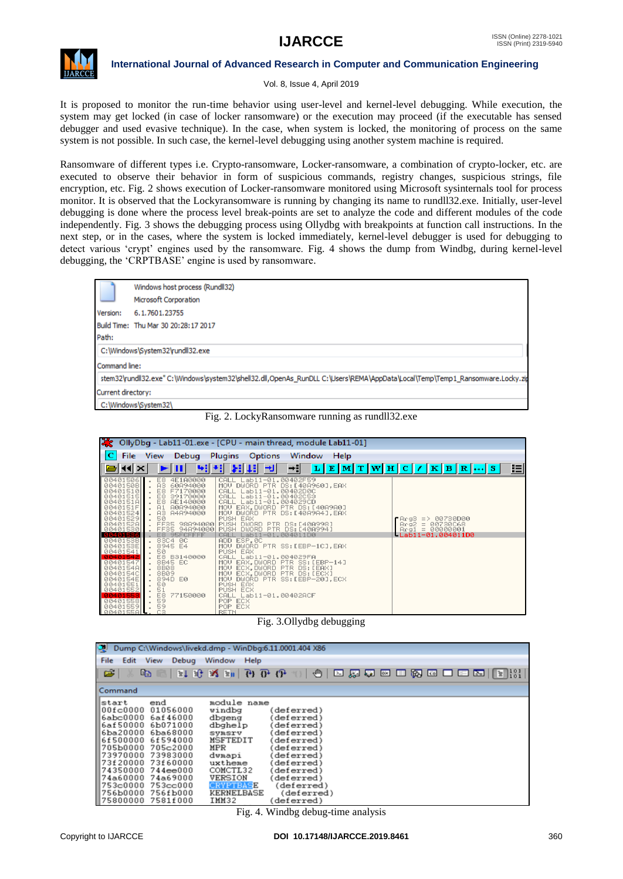

### Vol. 8, Issue 4, April 2019

It is proposed to monitor the run-time behavior using user-level and kernel-level debugging. While execution, the system may get locked (in case of locker ransomware) or the execution may proceed (if the executable has sensed debugger and used evasive technique). In the case, when system is locked, the monitoring of process on the same system is not possible. In such case, the kernel-level debugging using another system machine is required.

Ransomware of different types i.e. Crypto-ransomware, Locker-ransomware, a combination of crypto-locker, etc. are executed to observe their behavior in form of suspicious commands, registry changes, suspicious strings, file encryption, etc. Fig. 2 shows execution of Locker-ransomware monitored using Microsoft sysinternals tool for process monitor. It is observed that the Lockyransomware is running by changing its name to rundll32.exe. Initially, user-level debugging is done where the process level break-points are set to analyze the code and different modules of the code independently. Fig. 3 shows the debugging process using Ollydbg with breakpoints at function call instructions. In the next step, or in the cases, where the system is locked immediately, kernel-level debugger is used for debugging to detect various "crypt" engines used by the ransomware. Fig. 4 shows the dump from Windbg, during kernel-level debugging, the 'CRPTBASE' engine is used by ransomware.





|                                                                                                                                                                                                                                                                                                          |                                                                                                                                                                                                                                                                                                                                                              | OllyDbg - Lab11-01.exe - [CPU - main thread, module Lab11-01]                                                                                                                                                                                                                                                                                                                                                                                                                                                                                                                                                                                                                                    |                                                                                          |
|----------------------------------------------------------------------------------------------------------------------------------------------------------------------------------------------------------------------------------------------------------------------------------------------------------|--------------------------------------------------------------------------------------------------------------------------------------------------------------------------------------------------------------------------------------------------------------------------------------------------------------------------------------------------------------|--------------------------------------------------------------------------------------------------------------------------------------------------------------------------------------------------------------------------------------------------------------------------------------------------------------------------------------------------------------------------------------------------------------------------------------------------------------------------------------------------------------------------------------------------------------------------------------------------------------------------------------------------------------------------------------------------|------------------------------------------------------------------------------------------|
| $\mathbf{C}$<br>File                                                                                                                                                                                                                                                                                     | Debug<br>View                                                                                                                                                                                                                                                                                                                                                | <b>Plugins</b> Options<br>Window<br>Help                                                                                                                                                                                                                                                                                                                                                                                                                                                                                                                                                                                                                                                         |                                                                                          |
| $\left  1 \right $ $\times$                                                                                                                                                                                                                                                                              | E⊞                                                                                                                                                                                                                                                                                                                                                           | 벽세 되피 케<br>H÷l                                                                                                                                                                                                                                                                                                                                                                                                                                                                                                                                                                                                                                                                                   | 胆<br>$L E M T W H C / K B R  S$                                                          |
| 00401506<br>0040150B<br>00401510<br>00401515<br>0040151A<br>0040151F<br>00401524<br>00401529<br>0040152A<br>00401530<br>30401586<br>0040153B<br>0040153E<br>00401541<br>88481542<br>00401547<br>0040154A<br>0040154C<br>0040154E<br>00401551<br>00401552<br>8848155<br>00401558<br>00401559<br>0040155AL | 4E1A0000<br>ES<br>A3<br>60894000<br>E8<br>F7170000<br>E8<br>39170000<br>E8<br>AE140000<br>A1<br>A0A94000<br>AЗ<br>A4A94000<br>50<br>FF35<br>98894000<br>FF <sub>35</sub><br>94894000<br>E8<br>95FCFFFF<br>83C4 0C<br>٠<br>8945 E4<br>50<br>E8.<br>B3140000<br>8B45 EC<br>8B08<br>8BØ9<br>894D E0<br>50<br>51<br>E8<br>77150000<br>59<br>59<br>C <sub>3</sub> | Lab11-01.00402F59<br>CAL<br>DWORD PTR DS: [40A960], EAX<br><b>MOU</b><br>CALL<br>Lab11-01.00402D0C<br>Lab11-01.00402C53<br>CALL<br>CALL<br>Lab11-01.004029CD<br>EAX, DWORD PTR DS: [40A9A0]<br>MOU.<br>DWORD PTR DS: [40A9A4], EAX<br>MOU.<br>PUSH EAX<br>PUSH DWORD PTR DS: [40A998]<br>DWORD PTR DS: [40A994]<br>PUSH<br>Lab11-01.004011D0<br>CALL<br>ADD ESP.0C<br>MOU.<br>DWORD PTR SS: [EBP-1C], EAX<br>PUSH EAX<br>CALL Lab11-01.004029FA<br>MOV EAX, DWORD PTR SS: [EBP-14]<br>ECX, DWORD PTR DS: [EAX]<br>MOV.<br>PTR DS: [ECX]<br><b>MOU</b><br>ECX, DWORD<br>MOU<br>DWORD PTR SS: [EBP-20], ECX<br>PUSH EAX<br>PUSH ECX<br>CALL Lab11-01.00402ACF<br>POP ECX<br>POP ECX<br><b>RETN</b> | $P$ Arg3 => 00730D00<br>$Arg2 = 00730068$<br>$Area1 = 000000001$<br>$LLab11-01.004011D0$ |

Fig. 3.Ollydbg debugging

| ्रा<br>Dump C:\Windows\livekd.dmp - WinDbg:6.11.0001.404 X86                                                                                                                         |                                                                                                                                                          |                                                                                                                                                                |                                                                                                                                                                         |  |  |  |  |  |
|--------------------------------------------------------------------------------------------------------------------------------------------------------------------------------------|----------------------------------------------------------------------------------------------------------------------------------------------------------|----------------------------------------------------------------------------------------------------------------------------------------------------------------|-------------------------------------------------------------------------------------------------------------------------------------------------------------------------|--|--|--|--|--|
| File<br>Edit<br><b>View</b><br>Debug<br>Window<br>Help                                                                                                                               |                                                                                                                                                          |                                                                                                                                                                |                                                                                                                                                                         |  |  |  |  |  |
| $\overline{B}$<br>原源区口两区口口图 [2] 23  <br>œ,<br>⊕∥<br>$\sim$                                                                                                                           |                                                                                                                                                          |                                                                                                                                                                |                                                                                                                                                                         |  |  |  |  |  |
| Command                                                                                                                                                                              |                                                                                                                                                          |                                                                                                                                                                |                                                                                                                                                                         |  |  |  |  |  |
| end<br>Istart<br>100fc0000<br> 6abc0000<br>6af50000<br>16ba20000<br>6f500000<br>1705Ъ0000<br>173970000<br>173£20000<br>174350000<br>l74a60000<br>l753c0000<br>1756b0000<br> 75800000 | 01056000<br>6af46000<br>6b071000<br>6ba68000<br>6f594000<br>705c2000<br>73983000<br>73f60000<br>744ee000<br>74a69000<br>753cc000<br>756fb000<br>7581f000 | module name<br>windbg<br>dbgeng<br>dbghelp<br>symsrv<br>MSFTEDIT<br>MPR<br>dwmapi<br>uxtheme<br>COMCTL32<br>VERSION<br>CRYPTBASE<br><b>KERNELBASE</b><br>ІММ32 | deferred)<br>deferred)<br>deferred)<br>deferred)<br>deferred)<br>deferred)<br>deferred)<br>deferred)<br>deferred)<br>deferred)<br>(deferred)<br>(deferred)<br>deferred) |  |  |  |  |  |

Fig. 4. Windbg debug-time analysis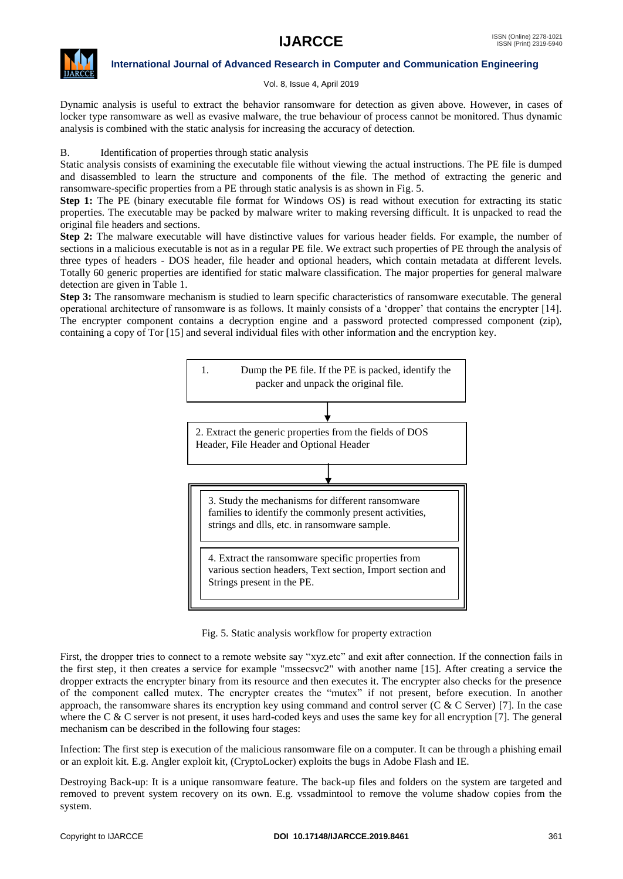

### Vol. 8, Issue 4, April 2019

Dynamic analysis is useful to extract the behavior ransomware for detection as given above. However, in cases of locker type ransomware as well as evasive malware, the true behaviour of process cannot be monitored. Thus dynamic analysis is combined with the static analysis for increasing the accuracy of detection.

# B. Identification of properties through static analysis

Static analysis consists of examining the executable file without viewing the actual instructions. The PE file is dumped and disassembled to learn the structure and components of the file. The method of extracting the generic and ransomware-specific properties from a PE through static analysis is as shown in Fig. 5.

**Step 1:** The PE (binary executable file format for Windows OS) is read without execution for extracting its static properties. The executable may be packed by malware writer to making reversing difficult. It is unpacked to read the original file headers and sections.

**Step 2:** The malware executable will have distinctive values for various header fields. For example, the number of sections in a malicious executable is not as in a regular PE file. We extract such properties of PE through the analysis of three types of headers - DOS header, file header and optional headers, which contain metadata at different levels. Totally 60 generic properties are identified for static malware classification. The major properties for general malware detection are given in Table 1.

**Step 3:** The ransomware mechanism is studied to learn specific characteristics of ransomware executable. The general operational architecture of ransomware is as follows. It mainly consists of a "dropper" that contains the encrypter [14]. The encrypter component contains a decryption engine and a password protected compressed component (zip), containing a copy of Tor [15] and several individual files with other information and the encryption key.



#### Fig. 5. Static analysis workflow for property extraction

First, the dropper tries to connect to a remote website say "xyz.etc" and exit after connection. If the connection fails in the first step, it then creates a service for example "mssecsvc2" with another name [15]. After creating a service the dropper extracts the encrypter binary from its resource and then executes it. The encrypter also checks for the presence of the component called mutex. The encrypter creates the "mutex" if not present, before execution. In another approach, the ransomware shares its encryption key using command and control server  $(C & C$  Server) [7]. In the case where the C  $\&$  C server is not present, it uses hard-coded keys and uses the same key for all encryption [7]. The general mechanism can be described in the following four stages:

Infection: The first step is execution of the malicious ransomware file on a computer. It can be through a phishing email or an exploit kit. E.g. Angler exploit kit, (CryptoLocker) exploits the bugs in Adobe Flash and IE.

Destroying Back-up: It is a unique ransomware feature. The back-up files and folders on the system are targeted and removed to prevent system recovery on its own. E.g. vssadmintool to remove the volume shadow copies from the system.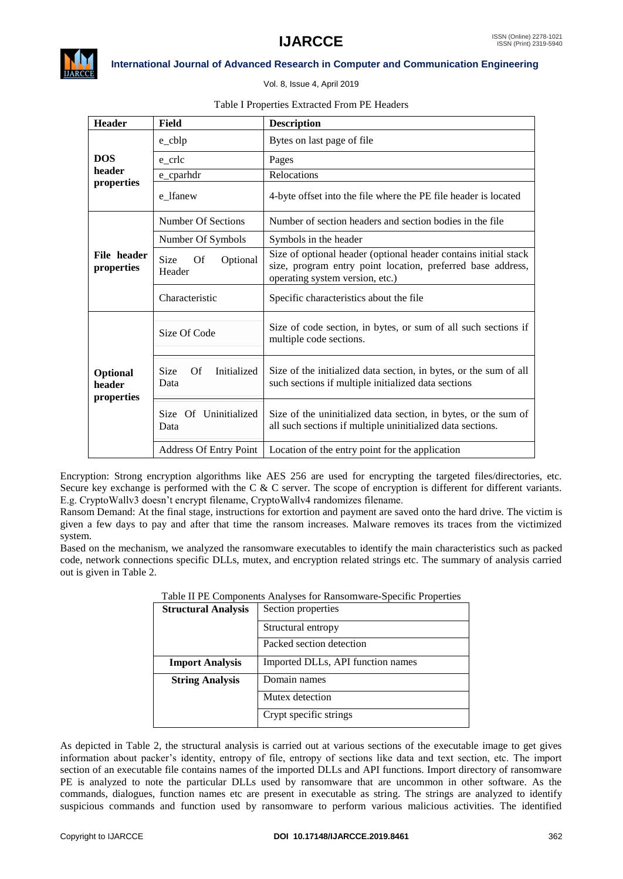

Vol. 8, Issue 4, April 2019

# Table I Properties Extracted From PE Headers

| <b>Header</b>                    | Field                                    | <b>Description</b>                                                                                                                                                |  |  |
|----------------------------------|------------------------------------------|-------------------------------------------------------------------------------------------------------------------------------------------------------------------|--|--|
|                                  | $e_{cblp}$                               | Bytes on last page of file                                                                                                                                        |  |  |
| <b>DOS</b>                       | e crlc                                   | Pages                                                                                                                                                             |  |  |
| header<br>properties             | e_cparhdr                                | Relocations                                                                                                                                                       |  |  |
|                                  | e lfanew                                 | 4-byte offset into the file where the PE file header is located                                                                                                   |  |  |
|                                  | Number Of Sections                       | Number of section headers and section bodies in the file                                                                                                          |  |  |
|                                  | Number Of Symbols                        | Symbols in the header                                                                                                                                             |  |  |
| File header<br>properties        | Size<br><b>Of</b><br>Optional<br>Header  | Size of optional header (optional header contains initial stack<br>size, program entry point location, preferred base address,<br>operating system version, etc.) |  |  |
|                                  | Characteristic                           | Specific characteristics about the file                                                                                                                           |  |  |
|                                  | Size Of Code                             | Size of code section, in bytes, or sum of all such sections if<br>multiple code sections.                                                                         |  |  |
| Optional<br>header<br>properties | Of<br><b>Size</b><br>Initialized<br>Data | Size of the initialized data section, in bytes, or the sum of all<br>such sections if multiple initialized data sections                                          |  |  |
|                                  | Of Uninitialized<br>Size<br>Data         | Size of the uninitialized data section, in bytes, or the sum of<br>all such sections if multiple uninitialized data sections.                                     |  |  |
|                                  | <b>Address Of Entry Point</b>            | Location of the entry point for the application                                                                                                                   |  |  |

Encryption: Strong encryption algorithms like AES 256 are used for encrypting the targeted files/directories, etc. Secure key exchange is performed with the C & C server. The scope of encryption is different for different variants. E.g. CryptoWallv3 doesn"t encrypt filename, CryptoWallv4 randomizes filename.

Ransom Demand: At the final stage, instructions for extortion and payment are saved onto the hard drive. The victim is given a few days to pay and after that time the ransom increases. Malware removes its traces from the victimized system.

Based on the mechanism, we analyzed the ransomware executables to identify the main characteristics such as packed code, network connections specific DLLs, mutex, and encryption related strings etc. The summary of analysis carried out is given in Table 2.

| were in the components this people. It is not be specified to perform |                                   |  |  |  |
|-----------------------------------------------------------------------|-----------------------------------|--|--|--|
| <b>Structural Analysis</b>                                            | Section properties                |  |  |  |
|                                                                       | Structural entropy                |  |  |  |
|                                                                       | Packed section detection          |  |  |  |
| <b>Import Analysis</b>                                                | Imported DLLs, API function names |  |  |  |
| <b>String Analysis</b>                                                | Domain names                      |  |  |  |
|                                                                       | Mutex detection                   |  |  |  |
|                                                                       | Crypt specific strings            |  |  |  |

# Table II PE Components Analyses for Ransomware-Specific Properties

As depicted in Table 2, the structural analysis is carried out at various sections of the executable image to get gives information about packer"s identity, entropy of file, entropy of sections like data and text section, etc. The import section of an executable file contains names of the imported DLLs and API functions. Import directory of ransomware PE is analyzed to note the particular DLLs used by ransomware that are uncommon in other software. As the commands, dialogues, function names etc are present in executable as string. The strings are analyzed to identify suspicious commands and function used by ransomware to perform various malicious activities. The identified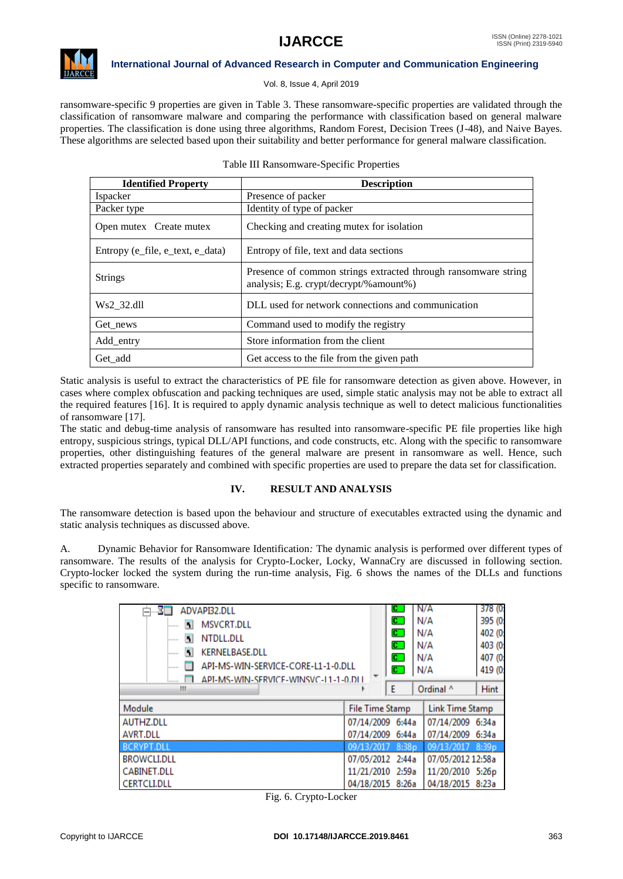

# Vol. 8, Issue 4, April 2019

ransomware-specific 9 properties are given in Table 3. These ransomware-specific properties are validated through the classification of ransomware malware and comparing the performance with classification based on general malware properties. The classification is done using three algorithms, Random Forest, Decision Trees (J-48), and Naive Bayes. These algorithms are selected based upon their suitability and better performance for general malware classification.

| <b>Identified Property</b>       | <b>Description</b>                                                                                        |  |  |
|----------------------------------|-----------------------------------------------------------------------------------------------------------|--|--|
| Ispacker                         | Presence of packer                                                                                        |  |  |
| Packer type                      | Identity of type of packer                                                                                |  |  |
| Open mutex Create mutex          | Checking and creating mutex for isolation                                                                 |  |  |
| Entropy (e file, e text, e data) | Entropy of file, text and data sections                                                                   |  |  |
| <b>Strings</b>                   | Presence of common strings extracted through ransom ware string<br>analysis; E.g. crypt/decrypt/%amount%) |  |  |
| Ws2 32.dll                       | DLL used for network connections and communication                                                        |  |  |
| Get news                         | Command used to modify the registry                                                                       |  |  |
| Add_entry                        | Store information from the client                                                                         |  |  |
| Get add                          | Get access to the file from the given path                                                                |  |  |

Static analysis is useful to extract the characteristics of PE file for ransomware detection as given above. However, in cases where complex obfuscation and packing techniques are used, simple static analysis may not be able to extract all the required features [16]. It is required to apply dynamic analysis technique as well to detect malicious functionalities of ransomware [17].

The static and debug-time analysis of ransomware has resulted into ransomware-specific PE file properties like high entropy, suspicious strings, typical DLL/API functions, and code constructs, etc. Along with the specific to ransomware properties, other distinguishing features of the general malware are present in ransomware as well. Hence, such extracted properties separately and combined with specific properties are used to prepare the data set for classification.

# **IV. RESULT AND ANALYSIS**

The ransomware detection is based upon the behaviour and structure of executables extracted using the dynamic and static analysis techniques as discussed above.

A. Dynamic Behavior for Ransomware Identification*:* The dynamic analysis is performed over different types of ransomware. The results of the analysis for Crypto-Locker, Locky, WannaCry are discussed in following section. Crypto-locker locked the system during the run-time analysis, Fig. 6 shows the names of the DLLs and functions specific to ransomware.

| 31<br>ADVAPI32.DLL<br><b>MSVCRT.DLL</b><br>$\overline{\mathbf{A}}$<br><br>W<br>NTDLL.DLL<br><br><b>KERNELBASE.DLL</b><br>П<br><br>API-MS-WIN-SERVICE-CORE-L1-1-0.DLL<br>.<br>API-MS-WIN-SERVICE-WINSVC-L1-1-0.DLL<br>Ш | C.<br>$\overline{\mathbf{c}}$ )<br>$\mathbf{C}$<br>$\mathbf{C}$<br>$\mathbf{C}$<br>$\mathbf{C}$<br>Ε | N/A<br>N/A<br>N/A<br>N/A<br>N/A<br>N/A<br>Ordinal ^ | 378 (0)<br>395 (0)<br>402 (0)<br>403 (0)<br>407 (0)<br>419 (0)<br>Hint |
|------------------------------------------------------------------------------------------------------------------------------------------------------------------------------------------------------------------------|------------------------------------------------------------------------------------------------------|-----------------------------------------------------|------------------------------------------------------------------------|
| Module                                                                                                                                                                                                                 | <b>File Time Stamp</b>                                                                               | <b>Link Time Stamp</b>                              |                                                                        |
| <b>AUTHZ.DLL</b>                                                                                                                                                                                                       | 07/14/2009 6:44a                                                                                     | 07/14/2009 6:34a                                    |                                                                        |
| <b>AVRT.DLL</b>                                                                                                                                                                                                        | 07/14/2009 6:44a                                                                                     | 07/14/2009 6:34a                                    |                                                                        |
| <b>BCRYPT.DLL</b>                                                                                                                                                                                                      | 8:38p<br>09/13/2017                                                                                  | 09/13/2017                                          | 8:39 <sub>D</sub>                                                      |
| <b>BROWCLI.DLL</b>                                                                                                                                                                                                     | 07/05/2012 2:44a                                                                                     | 07/05/2012 12:58a                                   |                                                                        |
| <b>CABINET.DLL</b>                                                                                                                                                                                                     | 11/21/2010 2:59a                                                                                     | 11/20/2010 5:26p                                    |                                                                        |
| <b>CERTCLI.DLL</b>                                                                                                                                                                                                     | 04/18/2015 8:26a                                                                                     | 04/18/2015 8:23a                                    |                                                                        |

|  | Fig. 6. Crypto-Locker |  |
|--|-----------------------|--|
|--|-----------------------|--|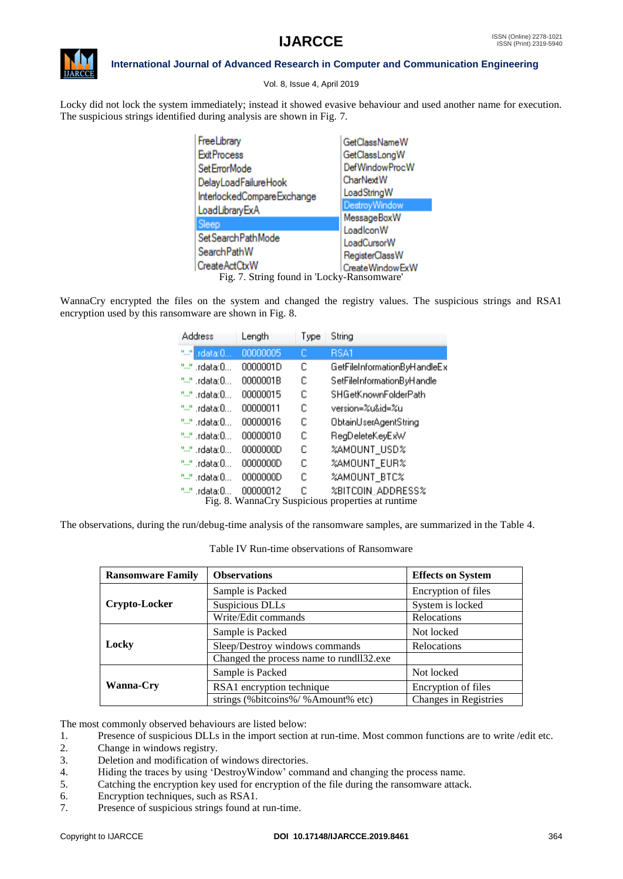

Vol. 8, Issue 4, April 2019

Locky did not lock the system immediately; instead it showed evasive behaviour and used another name for execution. The suspicious strings identified during analysis are shown in Fig. 7.

| FreeLibrary                                | GetClassNameW                     |  |  |  |
|--------------------------------------------|-----------------------------------|--|--|--|
| <b>ExitProcess</b>                         | GetClassLongW                     |  |  |  |
| Set ErrorMode                              | DefWindowProcW                    |  |  |  |
| DelayLoadFailureHook                       | <b>CharNextW</b>                  |  |  |  |
| InterlockedCompareExchange                 | LoadStringW                       |  |  |  |
| LoadLibraryExA                             | <b>DestroyWindow</b>              |  |  |  |
| Sleep                                      | MessageBoxW                       |  |  |  |
| Set Search Path Mode                       | LoadlconW                         |  |  |  |
|                                            | LoadCursorW                       |  |  |  |
| SearchPathW                                | RegisterClassW<br>CreateWindowExW |  |  |  |
| CreateActCtxW                              |                                   |  |  |  |
| Fig. 7. String found in 'Locky-Ransomware' |                                   |  |  |  |

WannaCry encrypted the files on the system and changed the registry values. The suspicious strings and RSA1 encryption used by this ransomware are shown in Fig. 8.

| Address                                                                                                 | Length   | Type | String                       |
|---------------------------------------------------------------------------------------------------------|----------|------|------------------------------|
|                                                                                                         | 00000005 | ш    | BSA1                         |
|                                                                                                         | 0000001D | с    | GetFileInformationByHandleEx |
| " <sup></sup> " .rdata:0                                                                                | 0000001B | с    | SetFileInformationByHandle   |
|                                                                                                         | 00000015 | с    | SHGetKnownFolderPath         |
|                                                                                                         | 00000011 | с    | version=%u&id=%u             |
| "" .rdata:0                                                                                             | 00000016 | C    | ObtainUserAgentString        |
| " <sup></sup> " .rdata:0                                                                                | 00000010 | C    | RegDeleteKeyExW              |
|                                                                                                         | 0000000D | C    | %AMOUNT_USD%                 |
|                                                                                                         | 0000000D | C    | %AMOUNT_EUR                  |
|                                                                                                         | 0000000D | C    | %AMOUNT_BTC%                 |
| C<br>%BITCOIN ADDRESS%<br>00000012<br>"" .rdata:0.<br>Fig. 8. WannaCry Suspicious properties at runtime |          |      |                              |
|                                                                                                         |          |      |                              |

The observations, during the run/debug-time analysis of the ransomware samples, are summarized in the Table 4.

Table IV Run-time observations of Ransomware

| <b>Ransomware Family</b> | <b>Observations</b>                      | <b>Effects on System</b> |
|--------------------------|------------------------------------------|--------------------------|
|                          | Sample is Packed                         | Encryption of files      |
| Crypto-Locker            | Suspicious DLLs                          | System is locked         |
|                          | Write/Edit commands                      | Relocations              |
|                          | Sample is Packed                         | Not locked               |
| Locky                    | Sleep/Destroy windows commands           | Relocations              |
|                          | Changed the process name to rundll32.exe |                          |
|                          | Sample is Packed                         | Not locked               |
| <b>Wanna-Cry</b>         | RSA1 encryption technique                | Encryption of files      |
|                          | strings (%bitcoins%/%Amount% etc)        | Changes in Registries    |

The most commonly observed behaviours are listed below:

- 1. Presence of suspicious DLLs in the import section at run-time. Most common functions are to write /edit etc.
- 2. Change in windows registry.
- 3. Deletion and modification of windows directories.
- 4. Hiding the traces by using "DestroyWindow" command and changing the process name.
- 5. Catching the encryption key used for encryption of the file during the ransomware attack.
- 6. Encryption techniques, such as RSA1.
- 7. Presence of suspicious strings found at run-time.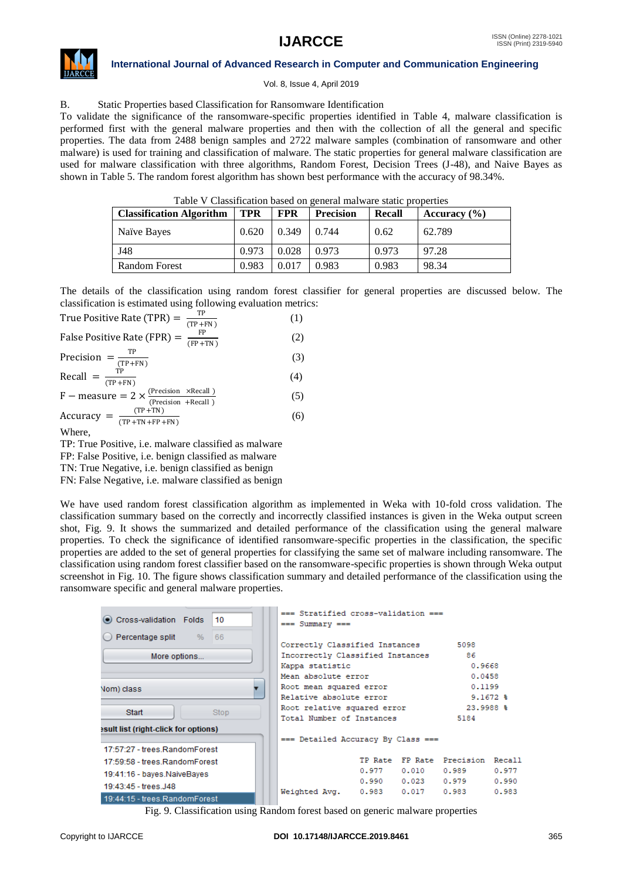

Vol. 8, Issue 4, April 2019

# B. Static Properties based Classification for Ransomware Identification

To validate the significance of the ransomware-specific properties identified in Table 4, malware classification is performed first with the general malware properties and then with the collection of all the general and specific properties. The data from 2488 benign samples and 2722 malware samples (combination of ransomware and other malware) is used for training and classification of malware. The static properties for general malware classification are used for malware classification with three algorithms, Random Forest, Decision Trees (J-48), and Naive Bayes as shown in Table 5. The random forest algorithm has shown best performance with the accuracy of 98.34%.

| <b>Classification Algorithm</b> | <b>TPR</b> | FPR   | <b>Precision</b> | Recall | Accuracy $(\% )$ |
|---------------------------------|------------|-------|------------------|--------|------------------|
| Naïve Bayes                     | 0.620      | 0.349 | 0.744            | 0.62   | 62.789           |
| J48                             | 0.973      | 0.028 | 0.973            | 0.973  | 97.28            |
| <b>Random Forest</b>            | 0.983      | 0.017 | 0.983            | 0.983  | 98.34            |

# Table V Classification based on general malware static properties

The details of the classification using random forest classifier for general properties are discussed below. The classification is estimated using following evaluation metrics:

True Positive Rate (TPR) = 
$$
\frac{\text{TP}}{(\text{TP} + \text{FN})}
$$
 (1)  
\nFalse Positive Rate (FPR) =  $\frac{\text{FP}}{(\text{FP} + \text{TN})}$  (2)  
\nPrecision =  $\frac{\text{TP}}{(\text{TP} + \text{FN})}$  (3)  
\nRecall =  $\frac{\text{TP}}{(\text{TP} + \text{TN})}$  (4)

| .<br>$(TP + FN)$                                               | $\cdots$ |
|----------------------------------------------------------------|----------|
| $F$ – measure = 2 $\times \frac{(Precision \times Recall)}{T}$ | (5)      |
| (Precision +Recall)                                            |          |
| $(TD + TNI)$                                                   |          |

$$
Accuracy = \frac{(TP + TN)}{(TP + TN + FP + FN)}
$$
 (6)

Where,

TP: True Positive, i.e. malware classified as malware

FP: False Positive, i.e. benign classified as malware

TN: True Negative, i.e. benign classified as benign

FN: False Negative, i.e. malware classified as benign

We have used random forest classification algorithm as implemented in Weka with 10-fold cross validation. The classification summary based on the correctly and incorrectly classified instances is given in the Weka output screen shot, Fig. 9. It shows the summarized and detailed performance of the classification using the general malware properties. To check the significance of identified ransomware-specific properties in the classification, the specific properties are added to the set of general properties for classifying the same set of malware including ransomware. The classification using random forest classifier based on the ransomware-specific properties is shown through Weka output screenshot in Fig. 10. The figure shows classification summary and detailed performance of the classification using the ransomware specific and general malware properties.

| Cross-validation Folds<br>10                                                                                          | === Stratified cross-validation ===<br>$==$ Summary $==$                                                     |                                                                   |                                |                         |
|-----------------------------------------------------------------------------------------------------------------------|--------------------------------------------------------------------------------------------------------------|-------------------------------------------------------------------|--------------------------------|-------------------------|
| Percentage split<br>66<br>$\frac{9}{6}$<br>More options                                                               | Correctly Classified Instances<br>Incorrectly Classified Instances<br>Kappa statistic<br>Mean absolute error |                                                                   | 5098<br>86<br>0.9668<br>0.0458 |                         |
| Nom) class<br>Start<br><b>Stop</b>                                                                                    | Root mean squared error<br>Relative absolute error<br>Root relative squared error                            |                                                                   | 0.1199<br>23.9988 %            | $9.1672$ \$             |
| esult list (right-click for options)                                                                                  | Total Number of Instances<br>=== Detailed Accuracy By Class ===                                              |                                                                   | 5184                           |                         |
| 17:57:27 - trees RandomForest<br>17:59:58 - trees.RandomForest<br>19:41:16 - baves.NaiveBaves<br>19:43:45 - trees.J48 | 0.977                                                                                                        | TP Rate FP Rate Precision Recall<br>0.010<br>0.990 0.023<br>0.017 | 0.989<br>0.979<br>0.983        | 0.977<br>0.990<br>0.983 |
| 19:44:15 - trees.RandomForest                                                                                         | Weighted Avg. 0.983                                                                                          |                                                                   |                                |                         |

Fig. 9. Classification using Random forest based on generic malware properties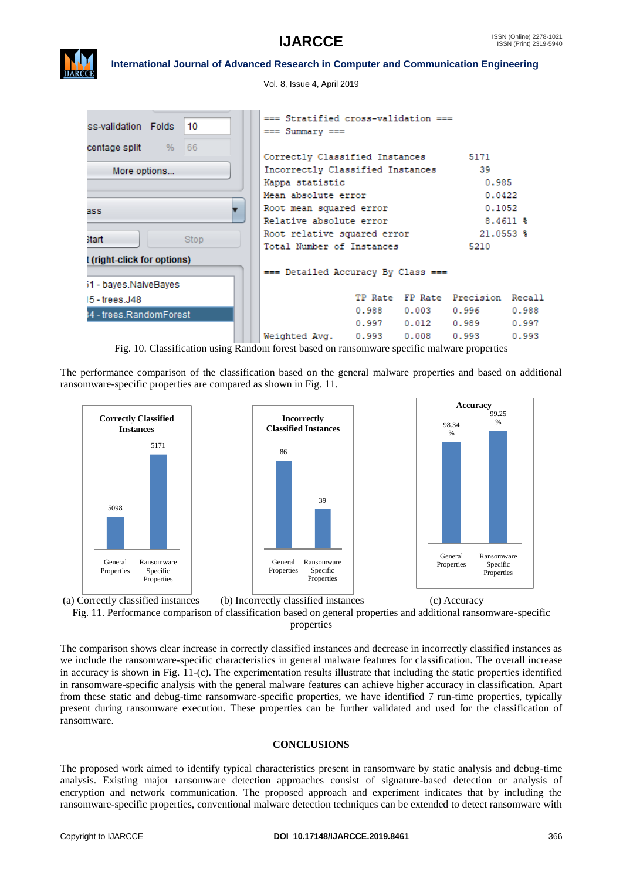

Vol. 8, Issue 4, April 2019

| 10<br>ss-validation Folds                            | === Stratified cross-validation ===<br>$==$ Summary $==$                                                                              |                |                         |                                                    |                         |  |
|------------------------------------------------------|---------------------------------------------------------------------------------------------------------------------------------------|----------------|-------------------------|----------------------------------------------------|-------------------------|--|
| 66<br><b>centage split</b> %<br>More options         | Correctly Classified Instances<br>Incorrectly Classified Instances<br>Kappa statistic                                                 |                |                         | 5171<br>39<br>0.985                                |                         |  |
| ass.<br><b>Start</b><br>Stop                         | Mean absolute error<br>Root mean squared error<br>Relative absolute error<br>Root relative squared error<br>Total Number of Instances |                |                         | 0.0422<br>0.1052<br>21.0553 %<br>5210              | $8.4611$ \$             |  |
| t (right-click for options)<br>51 - bayes.NaiveBayes | === Detailed Accuracy By Class ===                                                                                                    |                |                         |                                                    |                         |  |
| 15 - trees.J48<br>34 - trees.RandomForest            | Weighted Avg. 0.993                                                                                                                   | 0.988<br>0.997 | 0.003<br>0.012<br>0.008 | TP Rate FP Rate Precision Recall<br>0.989<br>0.993 | 0.988<br>0.997<br>0.993 |  |

Fig. 10. Classification using Random forest based on ransomware specific malware properties

The performance comparison of the classification based on the general malware properties and based on additional ransomware-specific properties are compared as shown in Fig. 11.





The comparison shows clear increase in correctly classified instances and decrease in incorrectly classified instances as we include the ransomware-specific characteristics in general malware features for classification. The overall increase in accuracy is shown in Fig. 11-(c). The experimentation results illustrate that including the static properties identified in ransomware-specific analysis with the general malware features can achieve higher accuracy in classification. Apart from these static and debug-time ransomware-specific properties, we have identified 7 run-time properties, typically present during ransomware execution. These properties can be further validated and used for the classification of ransomware.

# **CONCLUSIONS**

The proposed work aimed to identify typical characteristics present in ransomware by static analysis and debug-time analysis. Existing major ransomware detection approaches consist of signature-based detection or analysis of encryption and network communication. The proposed approach and experiment indicates that by including the ransomware-specific properties, conventional malware detection techniques can be extended to detect ransomware with